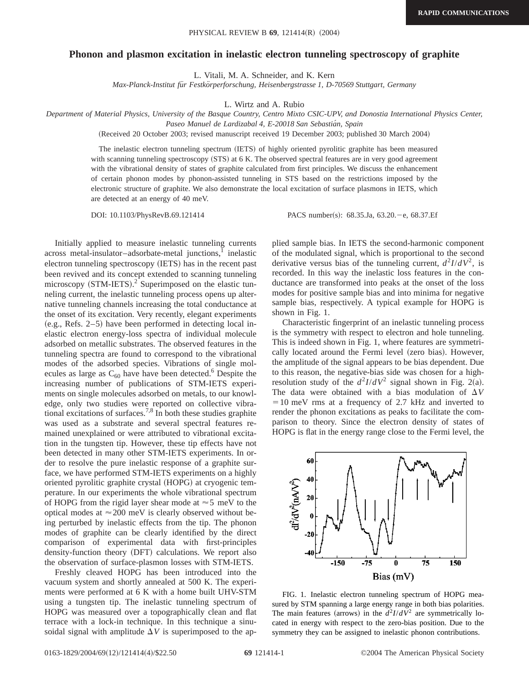## **Phonon and plasmon excitation in inelastic electron tunneling spectroscopy of graphite**

L. Vitali, M. A. Schneider, and K. Kern

*Max-Planck-Institut fu¨r Festko¨rperforschung, Heisenbergstrasse 1, D-70569 Stuttgart, Germany*

L. Wirtz and A. Rubio

*Department of Material Physics, University of the Basque Country, Centro Mixto CSIC-UPV, and Donostia International Physics Center,*

*Paseo Manuel de Lardizabal 4, E-20018 San Sebastia´n, Spain*

(Received 20 October 2003; revised manuscript received 19 December 2003; published 30 March 2004)

The inelastic electron tunneling spectrum (IETS) of highly oriented pyrolitic graphite has been measured with scanning tunneling spectroscopy (STS) at 6 K. The observed spectral features are in very good agreement with the vibrational density of states of graphite calculated from first principles. We discuss the enhancement of certain phonon modes by phonon-assisted tunneling in STS based on the restrictions imposed by the electronic structure of graphite. We also demonstrate the local excitation of surface plasmons in IETS, which are detected at an energy of 40 meV.

DOI: 10.1103/PhysRevB.69.121414 PACS number(s): 68.35.Ja, 63.20. - e, 68.37.Ef

Initially applied to measure inelastic tunneling currents  $across$  metal-insulator-adsorbate-metal junctions, $\frac{1}{1}$  inelastic electron tunneling spectroscopy (IETS) has in the recent past been revived and its concept extended to scanning tunneling microscopy  $(STM-IETS).$ <sup>2</sup> Superimposed on the elastic tunneling current, the inelastic tunneling process opens up alternative tunneling channels increasing the total conductance at the onset of its excitation. Very recently, elegant experiments  $(e.g., Refs. 2–5)$  have been performed in detecting local inelastic electron energy-loss spectra of individual molecule adsorbed on metallic substrates. The observed features in the tunneling spectra are found to correspond to the vibrational modes of the adsorbed species. Vibrations of single molecules as large as  $C_{60}$  have have been detected.<sup>6</sup> Despite the increasing number of publications of STM-IETS experiments on single molecules adsorbed on metals, to our knowledge, only two studies were reported on collective vibrational excitations of surfaces.<sup>7,8</sup> In both these studies graphite was used as a substrate and several spectral features remained unexplained or were attributed to vibrational excitation in the tungsten tip. However, these tip effects have not been detected in many other STM-IETS experiments. In order to resolve the pure inelastic response of a graphite surface, we have performed STM-IETS experiments on a highly oriented pyrolitic graphite crystal (HOPG) at cryogenic temperature. In our experiments the whole vibrational spectrum of HOPG from the rigid layer shear mode at  $\approx$  5 meV to the optical modes at  $\approx$  200 meV is clearly observed without being perturbed by inelastic effects from the tip. The phonon modes of graphite can be clearly identified by the direct comparison of experimental data with first-principles density-function theory (DFT) calculations. We report also the observation of surface-plasmon losses with STM-IETS.

Freshly cleaved HOPG has been introduced into the vacuum system and shortly annealed at 500 K. The experiments were performed at 6 K with a home built UHV-STM using a tungsten tip. The inelastic tunneling spectrum of HOPG was measured over a topographically clean and flat terrace with a lock-in technique. In this technique a sinusoidal signal with amplitude  $\Delta V$  is superimposed to the applied sample bias. In IETS the second-harmonic component of the modulated signal, which is proportional to the second derivative versus bias of the tunneling current,  $d^2I/dV^2$ , is recorded. In this way the inelastic loss features in the conductance are transformed into peaks at the onset of the loss modes for positive sample bias and into minima for negative sample bias, respectively. A typical example for HOPG is shown in Fig. 1.

Characteristic fingerprint of an inelastic tunneling process is the symmetry with respect to electron and hole tunneling. This is indeed shown in Fig. 1, where features are symmetrically located around the Fermi level (zero bias). However, the amplitude of the signal appears to be bias dependent. Due to this reason, the negative-bias side was chosen for a highresolution study of the  $d^2I/dV^2$  signal shown in Fig. 2(a). The data were obtained with a bias modulation of  $\Delta V$  $=10$  meV rms at a frequency of 2.7 kHz and inverted to render the phonon excitations as peaks to facilitate the comparison to theory. Since the electron density of states of HOPG is flat in the energy range close to the Fermi level, the



FIG. 1. Inelastic electron tunneling spectrum of HOPG measured by STM spanning a large energy range in both bias polarities. The main features (arrows) in the  $d^2I/dV^2$  are symmetrically located in energy with respect to the zero-bias position. Due to the symmetry they can be assigned to inelastic phonon contributions.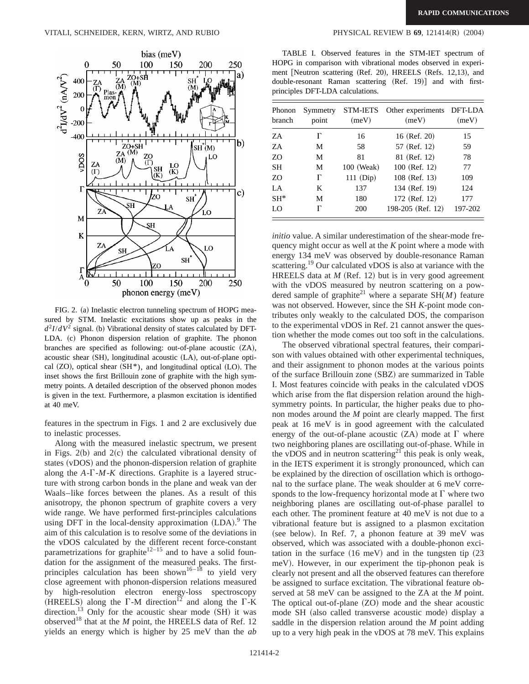

FIG. 2. (a) Inelastic electron tunneling spectrum of HOPG measured by STM. Inelastic excitations show up as peaks in the  $d^2I/dV^2$  signal. (b) Vibrational density of states calculated by DFT-LDA. (c) Phonon dispersion relation of graphite. The phonon branches are specified as following: out-of-plane acoustic  $(ZA)$ , acoustic shear  $(SH)$ , longitudinal acoustic  $(LA)$ , out-of-plane optical  $(ZO)$ , optical shear  $(SH*)$ , and longitudinal optical  $(LO)$ . The inset shows the first Brillouin zone of graphite with the high symmetry points. A detailed description of the observed phonon modes is given in the text. Furthermore, a plasmon excitation is identified at 40 meV.

features in the spectrum in Figs. 1 and 2 are exclusively due to inelastic processes.

Along with the measured inelastic spectrum, we present in Figs.  $2(b)$  and  $2(c)$  the calculated vibrational density of states (vDOS) and the phonon-dispersion relation of graphite along the  $A - \Gamma - M - K$  directions. Graphite is a layered structure with strong carbon bonds in the plane and weak van der Waals–like forces between the planes. As a result of this anisotropy, the phonon spectrum of graphite covers a very wide range. We have performed first-principles calculations using DFT in the local-density approximation (LDA).<sup>9</sup> The aim of this calculation is to resolve some of the deviations in the vDOS calculated by the different recent force-constant parametrizations for graphite<sup>12–15</sup> and to have a solid foundation for the assignment of the measured peaks. The firstprinciples calculation has been shown<sup>16–18</sup> to yield very close agreement with phonon-dispersion relations measured by high-resolution electron energy-loss spectroscopy (HREELS) along the  $\Gamma$ -M direction<sup>12</sup> and along the  $\Gamma$ -K direction.<sup>13</sup> Only for the acoustic shear mode  $(SH)$  it was observed<sup>18</sup> that at the  $M$  point, the HREELS data of Ref. 12 yields an energy which is higher by 25 meV than the *ab*

TABLE I. Observed features in the STM-IET spectrum of HOPG in comparison with vibrational modes observed in experiment [Neutron scattering (Ref. 20), HREELS (Refs. 12,13), and double-resonant Raman scattering (Ref. 19)] and with firstprinciples DFT-LDA calculations.

| Phonon<br>branch | Symmetry<br>point | <b>STM-IETS</b><br>(meV) | Other experiments<br>(meV) | DFT-LDA<br>(meV) |
|------------------|-------------------|--------------------------|----------------------------|------------------|
| ZΑ               | Г                 | 16                       | 16 (Ref. 20)               | 15               |
| ZΑ               | M                 | 58                       | 57 (Ref. 12)               | 59               |
| ZO               | M                 | 81                       | 81 (Ref. 12)               | 78               |
| <b>SH</b>        | M                 | 100 (Weak)               | 100 (Ref. 12)              | 77               |
| ZO               | Г                 | $111$ (Dip)              | 108 (Ref. 13)              | 109              |
| LA               | K                 | 137                      | 134 (Ref. 19)              | 124              |
| $SH^*$           | M                 | 180                      | 172 (Ref. 12)              | 177              |
| LO               |                   | 200                      | 198-205 (Ref. 12)          | 197-202          |

*initio* value. A similar underestimation of the shear-mode frequency might occur as well at the *K* point where a mode with energy 134 meV was observed by double-resonance Raman scattering.<sup>19</sup> Our calculated vDOS is also at variance with the HREELS data at  $M$  (Ref. 12) but is in very good agreement with the vDOS measured by neutron scattering on a powdered sample of graphite<sup>21</sup> where a separate  $SH(M)$  feature was not observed. However, since the SH *K*-point mode contributes only weakly to the calculated DOS, the comparison to the experimental vDOS in Ref. 21 cannot answer the question whether the mode comes out too soft in the calculations.

The observed vibrational spectral features, their comparison with values obtained with other experimental techniques, and their assignment to phonon modes at the various points of the surface Brillouin zone (SBZ) are summarized in Table I. Most features coincide with peaks in the calculated vDOS which arise from the flat dispersion relation around the highsymmetry points. In particular, the higher peaks due to phonon modes around the *M* point are clearly mapped. The first peak at 16 meV is in good agreement with the calculated energy of the out-of-plane acoustic  $(ZA)$  mode at  $\Gamma$  where two neighboring planes are oscillating out-of-phase. While in the vDOS and in neutron scattering<sup>21</sup> this peak is only weak, in the IETS experiment it is strongly pronounced, which can be explained by the direction of oscillation which is orthogonal to the surface plane. The weak shoulder at 6 meV corresponds to the low-frequency horizontal mode at  $\Gamma$  where two neighboring planes are oscillating out-of-phase parallel to each other. The prominent feature at 40 meV is not due to a vibrational feature but is assigned to a plasmon excitation (see below). In Ref. 7, a phonon feature at 39 meV was observed, which was associated with a double-phonon excitation in the surface  $(16 \text{ meV})$  and in the tungsten tip  $(23 \text{ meV})$ meV). However, in our experiment the tip-phonon peak is clearly not present and all the observed features can therefore be assigned to surface excitation. The vibrational feature observed at 58 meV can be assigned to the ZA at the *M* point. The optical out-of-plane  $(ZO)$  mode and the shear acoustic mode SH (also called transverse acoustic mode) display a saddle in the dispersion relation around the *M* point adding up to a very high peak in the vDOS at 78 meV. This explains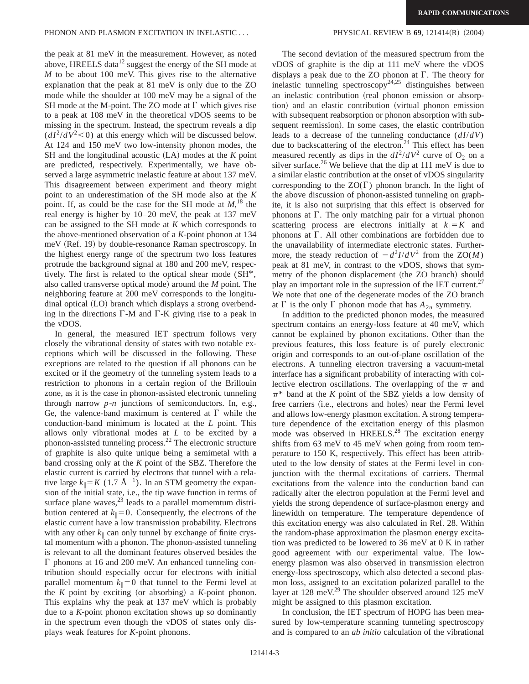the peak at 81 meV in the measurement. However, as noted above, HREELS data $12$  suggest the energy of the SH mode at *M* to be about 100 meV. This gives rise to the alternative explanation that the peak at 81 meV is only due to the ZO mode while the shoulder at 100 meV may be a signal of the SH mode at the M-point. The ZO mode at  $\Gamma$  which gives rise to a peak at 108 meV in the theoretical vDOS seems to be missing in the spectrum. Instead, the spectrum reveals a dip  $(dI^2/dV^2<0)$  at this energy which will be discussed below. At 124 and 150 meV two low-intensity phonon modes, the  $SH$  and the longitudinal acoustic  $(LA)$  modes at the  $K$  point are predicted, respectively. Experimentally, we have observed a large asymmetric inelastic feature at about 137 meV. This disagreement between experiment and theory might point to an underestimation of the SH mode also at the *K* point. If, as could be the case for the SH mode at  $M$ ,<sup>18</sup>, the real energy is higher by 10–20 meV, the peak at 137 meV can be assigned to the SH mode at *K* which corresponds to the above-mentioned observation of a *K*-point phonon at 134  $meV$  (Ref. 19) by double-resonance Raman spectroscopy. In the highest energy range of the spectrum two loss features protrude the background signal at 180 and 200 meV, respectively. The first is related to the optical shear mode (SH\*, also called transverse optical mode) around the *M* point. The neighboring feature at 200 meV corresponds to the longitudinal optical (LO) branch which displays a strong overbending in the directions  $\Gamma$ -M and  $\Gamma$ -K giving rise to a peak in the vDOS.

In general, the measured IET spectrum follows very closely the vibrational density of states with two notable exceptions which will be discussed in the following. These exceptions are related to the question if all phonons can be excited or if the geometry of the tunneling system leads to a restriction to phonons in a certain region of the Brillouin zone, as it is the case in phonon-assisted electronic tunneling through narrow *p*-*n* junctions of semiconductors. In, e.g., Ge, the valence-band maximum is centered at  $\Gamma$  while the conduction-band minimum is located at the *L* point. This allows only vibrational modes at *L* to be excited by a phonon-assisted tunneling process.<sup>22</sup> The electronic structure of graphite is also quite unique being a semimetal with a band crossing only at the *K* point of the SBZ. Therefore the elastic current is carried by electrons that tunnel with a relative large  $k_{\parallel} = K (1.7 \text{ Å}^{-1})$ . In an STM geometry the expansion of the initial state, i.e., the tip wave function in terms of surface plane waves, $^{23}$  leads to a parallel momemtum distribution centered at  $k_{\parallel}=0$ . Consequently, the electrons of the elastic current have a low transmission probability. Electrons with any other  $k_{\parallel}$  can only tunnel by exchange of finite crystal momentum with a phonon. The phonon-assisted tunneling is relevant to all the dominant features observed besides the  $\Gamma$  phonons at 16 and 200 meV. An enhanced tunneling contribution should especially occur for electrons with initial parallel momentum  $k_{\parallel}=0$  that tunnel to the Fermi level at the  $K$  point by exciting (or absorbing) a  $K$ -point phonon. This explains why the peak at 137 meV which is probably due to a *K*-point phonon excitation shows up so dominantly in the spectrum even though the vDOS of states only displays weak features for *K*-point phonons.

The second deviation of the measured spectrum from the vDOS of graphite is the dip at 111 meV where the vDOS displays a peak due to the ZO phonon at  $\Gamma$ . The theory for inelastic tunneling spectroscopy<sup>24,25</sup> distinguishes between an inelastic contribution (real phonon emission or absorption) and an elastic contribution (virtual phonon emission with subsequent reabsorption or phonon absorption with subsequent reemission). In some cases, the elastic contribution leads to a decrease of the tunneling conductance (*dI*/*dV*) due to backscattering of the electron.<sup>24</sup> This effect has been measured recently as dips in the  $dI^2/dV^2$  curve of O<sub>2</sub> on a silver surface.<sup>26</sup> We believe that the dip at 111 meV is due to a similar elastic contribution at the onset of vDOS singularity corresponding to the  $ZO(\Gamma)$  phonon branch. In the light of the above discussion of phonon-assisted tunneling on graphite, it is also not surprising that this effect is observed for phonons at  $\Gamma$ . The only matching pair for a virtual phonon scattering process are electrons initially at  $k_{\parallel} = K$  and phonons at  $\Gamma$ . All other combinations are forbidden due to the unavailability of intermediate electronic states. Furthermore, the steady reduction of  $-d^2I/dV^2$  from the ZO(*M*) peak at 81 meV, in contrast to the vDOS, shows that symmetry of the phonon displacement (the ZO branch) should play an important role in the supression of the IET current.<sup>27</sup> We note that one of the degenerate modes of the ZO branch at  $\Gamma$  is the only  $\Gamma$  phonon mode that has  $A_{2u}$  symmetry.

In addition to the predicted phonon modes, the measured spectrum contains an energy-loss feature at 40 meV, which cannot be explained by phonon excitations. Other than the previous features, this loss feature is of purely electronic origin and corresponds to an out-of-plane oscillation of the electrons. A tunneling electron traversing a vacuum-metal interface has a significant probability of interacting with collective electron oscillations. The overlapping of the  $\pi$  and  $\pi^*$  band at the *K* point of the SBZ yields a low density of free carriers (i.e., electrons and holes) near the Fermi level and allows low-energy plasmon excitation. A strong temperature dependence of the excitation energy of this plasmon mode was observed in HREELS.<sup>28</sup> The excitation energy shifts from 63 meV to 45 meV when going from room temperature to 150 K, respectively. This effect has been attributed to the low density of states at the Fermi level in conjunction with the thermal excitations of carriers. Thermal excitations from the valence into the conduction band can radically alter the electron population at the Fermi level and yields the strong dependence of surface-plasmon energy and linewidth on temperature. The temperature dependence of this excitation energy was also calculated in Ref. 28. Within the random-phase approximation the plasmon energy excitation was predicted to be lowered to 36 meV at 0 K in rather good agreement with our experimental value. The lowenergy plasmon was also observed in transmission electron energy-loss spectroscopy, which also detected a second plasmon loss, assigned to an excitation polarized parallel to the layer at 128 meV.<sup>29</sup> The shoulder observed around 125 meV might be assigned to this plasmon excitation.

In conclusion, the IET spectrum of HOPG has been measured by low-temperature scanning tunneling spectroscopy and is compared to an *ab initio* calculation of the vibrational